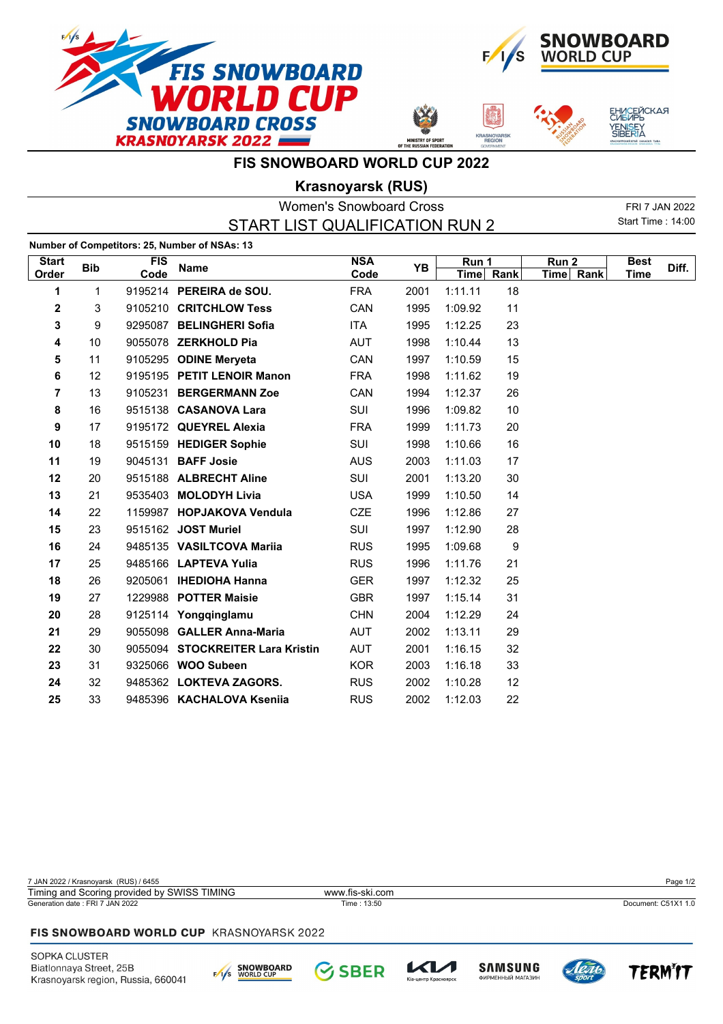



**ASNOYA** 

ЕНИСЕЙСКАЯ<br>СИБИРЬ

YENI<mark>S</mark>EY<br>SIBERIA

**FIS SNOWBOARD WORLD CUP 2022**

OF TH

## **Krasnoyarsk (RUS)**

| <b>Women's Snowboard Cross</b> |              |                    |                                               |                    |      |                      | FRI 7 JAN 2022 |                               |                     |       |
|--------------------------------|--------------|--------------------|-----------------------------------------------|--------------------|------|----------------------|----------------|-------------------------------|---------------------|-------|
|                                |              |                    | START LIST QUALIFICATION RUN 2                |                    |      |                      |                |                               | Start Time: 14:00   |       |
|                                |              |                    | Number of Competitors: 25, Number of NSAs: 13 |                    |      |                      |                |                               |                     |       |
| <b>Start</b><br>Order          | <b>Bib</b>   | <b>FIS</b><br>Code | <b>Name</b>                                   | <b>NSA</b><br>Code | YB   | Run 1<br><b>Time</b> | Rank           | Run <sub>2</sub><br>Time Rank | <b>Best</b><br>Time | Diff. |
| 1                              | $\mathbf{1}$ |                    | 9195214 PEREIRA de SOU.                       | <b>FRA</b>         | 2001 | 1:11.11              | 18             |                               |                     |       |
| $\mathbf 2$                    | 3            |                    | 9105210 CRITCHLOW Tess                        | CAN                | 1995 | 1:09.92              | 11             |                               |                     |       |
| 3                              | 9            |                    | 9295087 BELINGHERI Sofia                      | <b>ITA</b>         | 1995 | 1:12.25              | 23             |                               |                     |       |
| 4                              | 10           |                    | 9055078 ZERKHOLD Pia                          | <b>AUT</b>         | 1998 | 1:10.44              | 13             |                               |                     |       |
| 5                              | 11           |                    | 9105295 ODINE Meryeta                         | CAN                | 1997 | 1:10.59              | 15             |                               |                     |       |
| 6                              | 12           |                    | 9195195 PETIT LENOIR Manon                    | <b>FRA</b>         | 1998 | 1:11.62              | 19             |                               |                     |       |
| $\overline{\mathbf{r}}$        | 13           |                    | 9105231 BERGERMANN Zoe                        | CAN                | 1994 | 1:12.37              | 26             |                               |                     |       |
| 8                              | 16           |                    | 9515138 CASANOVA Lara                         | <b>SUI</b>         | 1996 | 1:09.82              | 10             |                               |                     |       |
| 9                              | 17           |                    | 9195172 QUEYREL Alexia                        | <b>FRA</b>         | 1999 | 1:11.73              | 20             |                               |                     |       |
| 10                             | 18           |                    | 9515159 HEDIGER Sophie                        | SUI                | 1998 | 1:10.66              | 16             |                               |                     |       |
| 11                             | 19           |                    | 9045131 BAFF Josie                            | <b>AUS</b>         | 2003 | 1:11.03              | 17             |                               |                     |       |
| 12                             | 20           |                    | 9515188 ALBRECHT Aline                        | SUI                | 2001 | 1:13.20              | 30             |                               |                     |       |
| 13                             | 21           |                    | 9535403 MOLODYH Livia                         | <b>USA</b>         | 1999 | 1:10.50              | 14             |                               |                     |       |
| 14                             | 22           |                    | 1159987 HOPJAKOVA Vendula                     | <b>CZE</b>         | 1996 | 1:12.86              | 27             |                               |                     |       |
| 15                             | 23           |                    | 9515162 JOST Muriel                           | <b>SUI</b>         | 1997 | 1:12.90              | 28             |                               |                     |       |
| 16                             | 24           |                    | 9485135 VASILTCOVA Marija                     | <b>RUS</b>         | 1995 | 1:09.68              | 9              |                               |                     |       |
| 17                             | 25           |                    | 9485166 LAPTEVA Yulia                         | <b>RUS</b>         | 1996 | 1:11.76              | 21             |                               |                     |       |
| 18                             | 26           |                    | 9205061 IHEDIOHA Hanna                        | <b>GER</b>         | 1997 | 1:12.32              | 25             |                               |                     |       |
| 19                             | 27           |                    | 1229988 POTTER Maisie                         | <b>GBR</b>         | 1997 | 1:15.14              | 31             |                               |                     |       |
| 20                             | 28           |                    | 9125114 Yongqinglamu                          | <b>CHN</b>         | 2004 | 1:12.29              | 24             |                               |                     |       |
| 21                             | 29           |                    | 9055098 GALLER Anna-Maria                     | <b>AUT</b>         | 2002 | 1:13.11              | 29             |                               |                     |       |
| 22                             | 30           |                    | 9055094 STOCKREITER Lara Kristin              | <b>AUT</b>         | 2001 | 1:16.15              | 32             |                               |                     |       |
| 23                             | 31           |                    | 9325066 WOO Subeen                            | <b>KOR</b>         | 2003 | 1:16.18              | 33             |                               |                     |       |
| 24                             | 32           |                    | 9485362 LOKTEVA ZAGORS.                       | <b>RUS</b>         | 2002 | 1:10.28              | 12             |                               |                     |       |
| 25                             | 33           |                    | 9485396 KACHALOVA Ksenija                     | <b>RUS</b>         | 2002 | 1:12.03              | 22             |                               |                     |       |

7 JAN 2022 / Krasnoyarsk (RUS) / 6455 Page 1/2 Generation date : FRI 7 JAN 2022 Time : 13:50 Document: C51X1 1.0 Timing and Scoring provided by SWISS TIMING www.fis-ski.com

**SBER** 

## FIS SNOWBOARD WORLD CUP KRASNOYARSK 2022